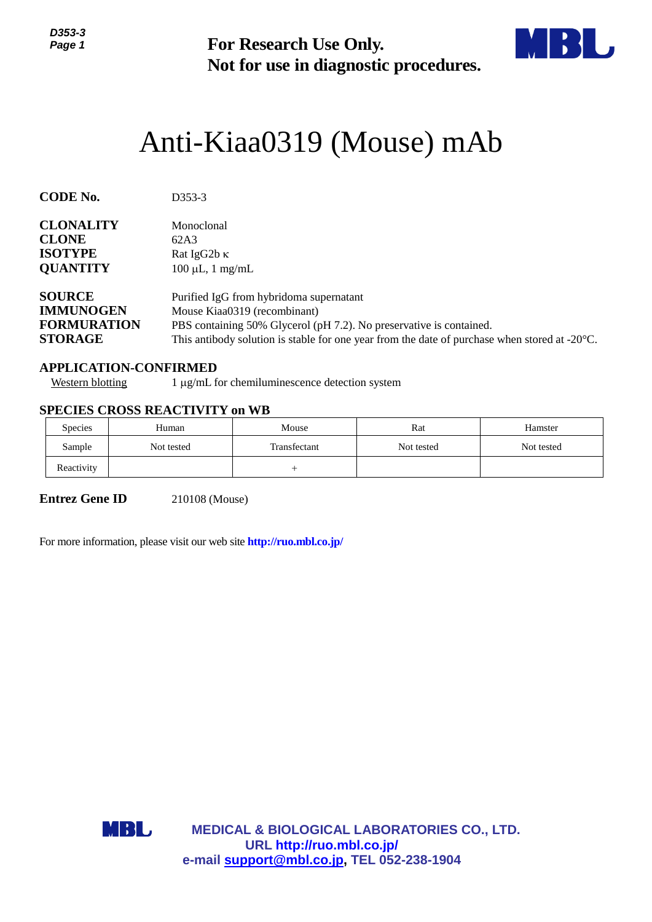

# Anti-Kiaa0319 (Mouse) mAb

| ט-טטע<br>Page 1                                                                                       | <b>For Research Use Only.</b><br>Not for use in diagnostic procedures.                                                                                                                                                                                    |                                                |                                                        |            |  |  |
|-------------------------------------------------------------------------------------------------------|-----------------------------------------------------------------------------------------------------------------------------------------------------------------------------------------------------------------------------------------------------------|------------------------------------------------|--------------------------------------------------------|------------|--|--|
|                                                                                                       |                                                                                                                                                                                                                                                           |                                                | Anti-Kiaa0319 (Mouse) mAb                              |            |  |  |
| <b>CODE No.</b>                                                                                       | D353-3                                                                                                                                                                                                                                                    |                                                |                                                        |            |  |  |
| <b>CLONALITY</b><br><b>CLONE</b><br><b>ISOTYPE</b><br><b>QUANTITY</b>                                 | Monoclonal<br>62A3<br>Rat IgG2b K<br>$100 \mu L$ , 1 mg/mL                                                                                                                                                                                                |                                                |                                                        |            |  |  |
| <b>SOURCE</b><br><b>IMMUNOGEN</b><br><b>FORMURATION</b><br><b>STORAGE</b>                             | Purified IgG from hybridoma supernatant<br>Mouse Kiaa0319 (recombinant)<br>PBS containing 50% Glycerol (pH 7.2). No preservative is contained.<br>This antibody solution is stable for one year from the date of purchase when stored at $-20^{\circ}$ C. |                                                |                                                        |            |  |  |
| <b>APPLICATION-CONFIRMED</b><br><b>Western blotting</b>                                               |                                                                                                                                                                                                                                                           | 1 μg/mL for chemiluminescence detection system |                                                        |            |  |  |
| <b>SPECIES CROSS REACTIVITY on WB</b>                                                                 |                                                                                                                                                                                                                                                           |                                                |                                                        |            |  |  |
| Species                                                                                               | Human                                                                                                                                                                                                                                                     | Mouse                                          | Rat                                                    | Hamster    |  |  |
| Sample                                                                                                | Not tested                                                                                                                                                                                                                                                | Transfectant                                   | Not tested                                             | Not tested |  |  |
| Reactivity                                                                                            |                                                                                                                                                                                                                                                           | $^{+}$                                         |                                                        |            |  |  |
| <b>Entrez Gene ID</b><br>For more information, please visit our web site <b>http://ruo.mbl.co.jp/</b> | 210108 (Mouse)                                                                                                                                                                                                                                            |                                                |                                                        |            |  |  |
|                                                                                                       |                                                                                                                                                                                                                                                           |                                                |                                                        |            |  |  |
|                                                                                                       |                                                                                                                                                                                                                                                           |                                                |                                                        |            |  |  |
|                                                                                                       |                                                                                                                                                                                                                                                           |                                                |                                                        |            |  |  |
|                                                                                                       |                                                                                                                                                                                                                                                           |                                                |                                                        |            |  |  |
|                                                                                                       |                                                                                                                                                                                                                                                           |                                                |                                                        |            |  |  |
| MBL                                                                                                   |                                                                                                                                                                                                                                                           | URL http://ruo.mbl.co.jp/                      | <b>MEDICAL &amp; BIOLOGICAL LABORATORIES CO., LTD.</b> |            |  |  |
|                                                                                                       |                                                                                                                                                                                                                                                           | e-mail support@mbl.co.jp, TEL 052-238-1904     |                                                        |            |  |  |

## **APPLICATION-CONFIRMED**

## **SPECIES CROSS REACTIVITY on WB**

| <b>Species</b> | Human      | Mouse        | Rat        | Hamster    |
|----------------|------------|--------------|------------|------------|
| Sample         | Not tested | Transfectant | Not tested | Not tested |
| Reactivity     |            |              |            |            |

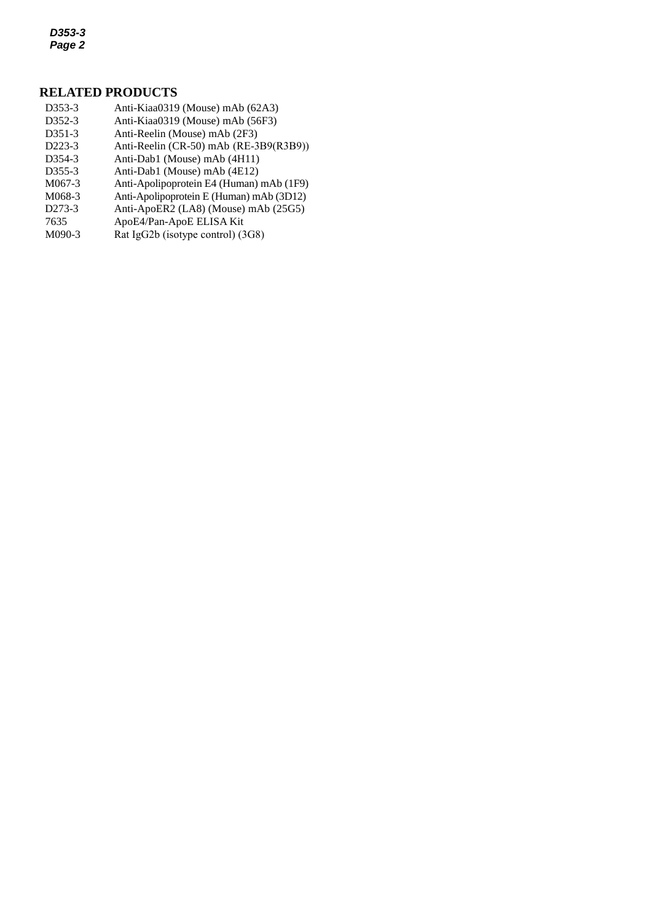*D353-3 Page 2*

#### **RELATED PRODUCTS**

- D353-3 [Anti-Kiaa0319](http://ruo.mbl.co.jp/dtl/A/K0106-3/) (Mouse) mAb (62A3)
- *3* D352-3 Anti-Kiaa0319 (Mouse) mAb (56F3)
- D351-3 Anti-Reelin (Mouse) mAb (2F3)
- D223-3 Anti-Reelin [\(CR-50\) mAb](http://ruo.mbl.co.jp/dtl/A/K0106-3/) (RE-3B9(R3B9))
- D354-3 Anti-Dab1 (Mouse) mAb (4H11)
- D355-3 Anti-Dab1 (Mouse) mAb (4E12)
- M067-3 Anti-Apolipoprotein E4 (Human) mAb (1F9)
- M068-3 Anti-Apolipoprotein E (Human) mAb (3D12)
- D273-3 [Anti-ApoER2 \(LA8\) \(Mouse\) mAb](http://ruo.mbl.co.jp/dtl/A/D273-3/) (25G5)
- 7635 ApoE4/Pan-ApoE ELISA Kit<br>M090-3 Rat IgG2b (isotype control) (3
- [Rat IgG2b \(isotype](http://ruo.mbl.co.jp/dtl/A/M090-3/) control) (3G8)